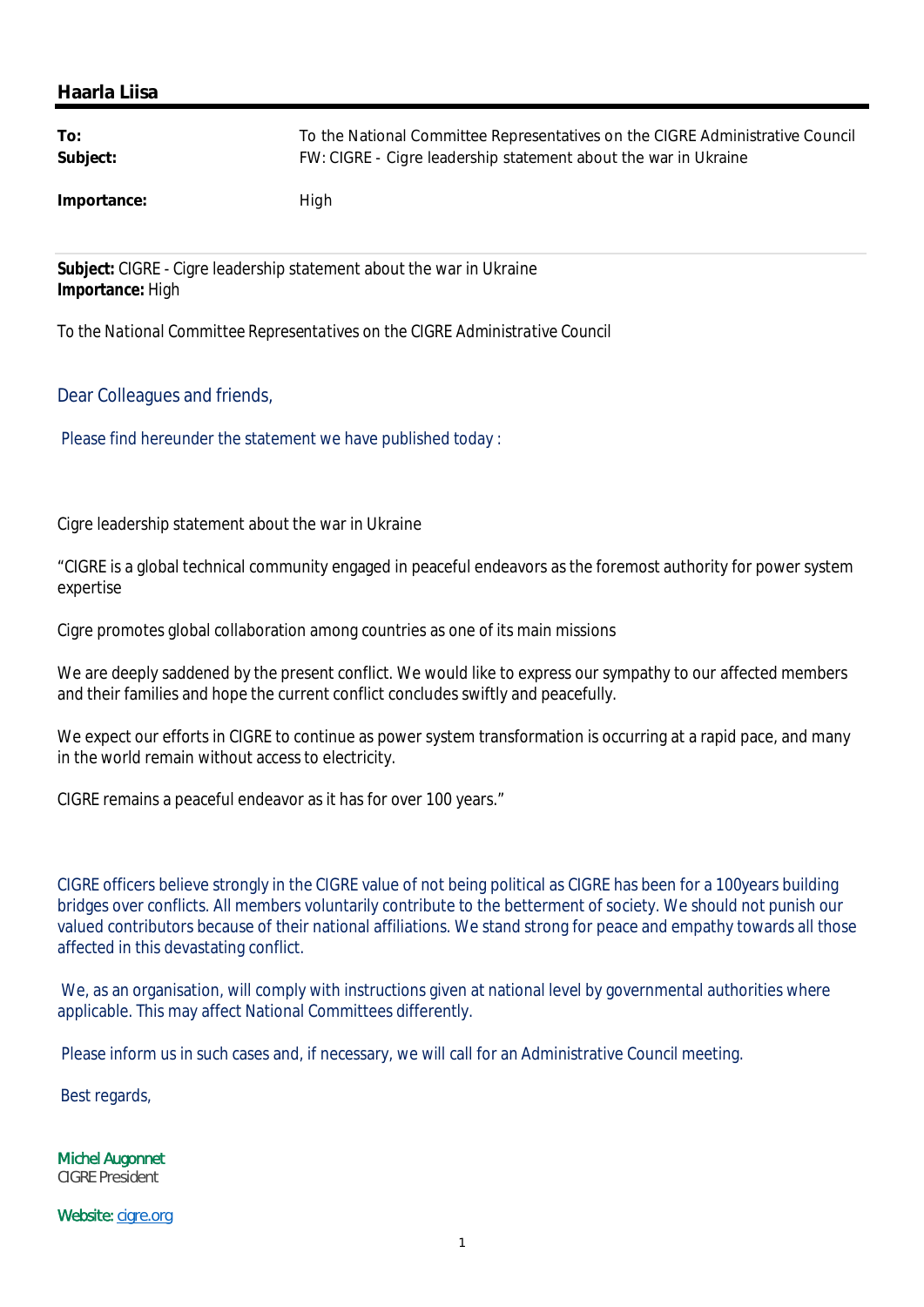## **Haarla Liisa**

| To:         | To the National Committee Representatives on the CIGRE Administrative Council |
|-------------|-------------------------------------------------------------------------------|
| Subject:    | FW: CIGRE - Cigre leadership statement about the war in Ukraine               |
| Importance: | High                                                                          |

**Subject:** CIGRE - Cigre leadership statement about the war in Ukraine **Importance:** High

*To the National Committee Representatives on the CIGRE Administrative Council*

## Dear Colleagues and friends,

Please find hereunder the statement we have published today :

Cigre leadership statement about the war in Ukraine

"CIGRE is a global technical community engaged in peaceful endeavors as the foremost authority for power system expertise

Cigre promotes global collaboration among countries as one of its main missions

We are deeply saddened by the present conflict. We would like to express our sympathy to our affected members and their families and hope the current conflict concludes swiftly and peacefully.

We expect our efforts in CIGRE to continue as power system transformation is occurring at a rapid pace, and many in the world remain without access to electricity.

CIGRE remains a peaceful endeavor as it has for over 100 years."

CIGRE officers believe strongly in the CIGRE value of not being political as CIGRE has been for a 100years building bridges over conflicts. All members voluntarily contribute to the betterment of society. We should not punish our valued contributors because of their national affiliations. We stand strong for peace and empathy towards all those affected in this devastating conflict.

We, as an organisation, will comply with instructions given at national level by governmental authorities where applicable. This may affect National Committees differently.

Please inform us in such cases and, if necessary, we will call for an Administrative Council meeting.

Best regards,

Michel Augonnet CIGRE President

Website: cigre.org